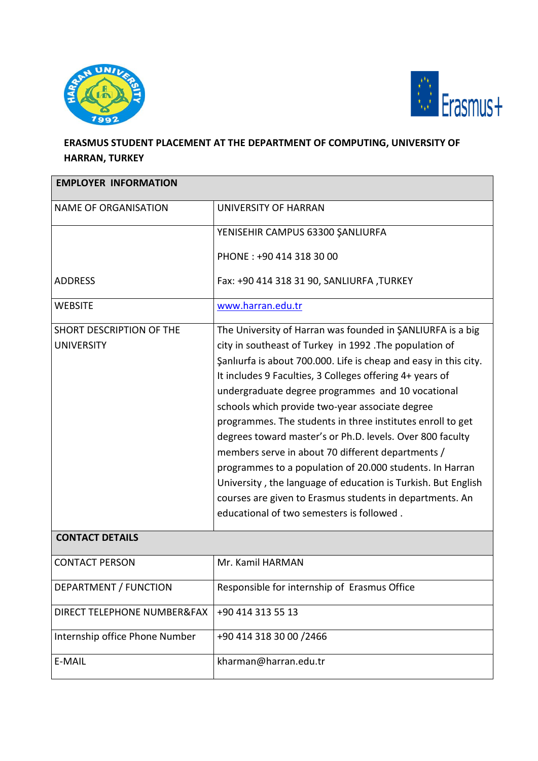



## **ERASMUS STUDENT PLACEMENT AT THE DEPARTMENT OF COMPUTING, UNIVERSITY OF HARRAN, TURKEY**

| <b>EMPLOYER INFORMATION</b>                   |                                                                                                                                                                                                                                                                                                                                                                                                                                                                                                                                                                                                                                                                                                                                                                                    |  |
|-----------------------------------------------|------------------------------------------------------------------------------------------------------------------------------------------------------------------------------------------------------------------------------------------------------------------------------------------------------------------------------------------------------------------------------------------------------------------------------------------------------------------------------------------------------------------------------------------------------------------------------------------------------------------------------------------------------------------------------------------------------------------------------------------------------------------------------------|--|
| <b>NAME OF ORGANISATION</b>                   | UNIVERSITY OF HARRAN                                                                                                                                                                                                                                                                                                                                                                                                                                                                                                                                                                                                                                                                                                                                                               |  |
|                                               | YENISEHIR CAMPUS 63300 ŞANLIURFA                                                                                                                                                                                                                                                                                                                                                                                                                                                                                                                                                                                                                                                                                                                                                   |  |
|                                               | PHONE: +90 414 318 30 00                                                                                                                                                                                                                                                                                                                                                                                                                                                                                                                                                                                                                                                                                                                                                           |  |
| <b>ADDRESS</b>                                | Fax: +90 414 318 31 90, SANLIURFA, TURKEY                                                                                                                                                                                                                                                                                                                                                                                                                                                                                                                                                                                                                                                                                                                                          |  |
| <b>WEBSITE</b>                                | www.harran.edu.tr                                                                                                                                                                                                                                                                                                                                                                                                                                                                                                                                                                                                                                                                                                                                                                  |  |
| SHORT DESCRIPTION OF THE<br><b>UNIVERSITY</b> | The University of Harran was founded in SANLIURFA is a big<br>city in southeast of Turkey in 1992. The population of<br>Şanlıurfa is about 700.000. Life is cheap and easy in this city.<br>It includes 9 Faculties, 3 Colleges offering 4+ years of<br>undergraduate degree programmes and 10 vocational<br>schools which provide two-year associate degree<br>programmes. The students in three institutes enroll to get<br>degrees toward master's or Ph.D. levels. Over 800 faculty<br>members serve in about 70 different departments /<br>programmes to a population of 20.000 students. In Harran<br>University, the language of education is Turkish. But English<br>courses are given to Erasmus students in departments. An<br>educational of two semesters is followed. |  |
| <b>CONTACT DETAILS</b>                        |                                                                                                                                                                                                                                                                                                                                                                                                                                                                                                                                                                                                                                                                                                                                                                                    |  |
| <b>CONTACT PERSON</b>                         | Mr. Kamil HARMAN                                                                                                                                                                                                                                                                                                                                                                                                                                                                                                                                                                                                                                                                                                                                                                   |  |
| DEPARTMENT / FUNCTION                         | Responsible for internship of Erasmus Office                                                                                                                                                                                                                                                                                                                                                                                                                                                                                                                                                                                                                                                                                                                                       |  |
| DIRECT TELEPHONE NUMBER&FAX                   | +90 414 313 55 13                                                                                                                                                                                                                                                                                                                                                                                                                                                                                                                                                                                                                                                                                                                                                                  |  |
| Internship office Phone Number                | +90 414 318 30 00 /2466                                                                                                                                                                                                                                                                                                                                                                                                                                                                                                                                                                                                                                                                                                                                                            |  |
| E-MAIL                                        | kharman@harran.edu.tr                                                                                                                                                                                                                                                                                                                                                                                                                                                                                                                                                                                                                                                                                                                                                              |  |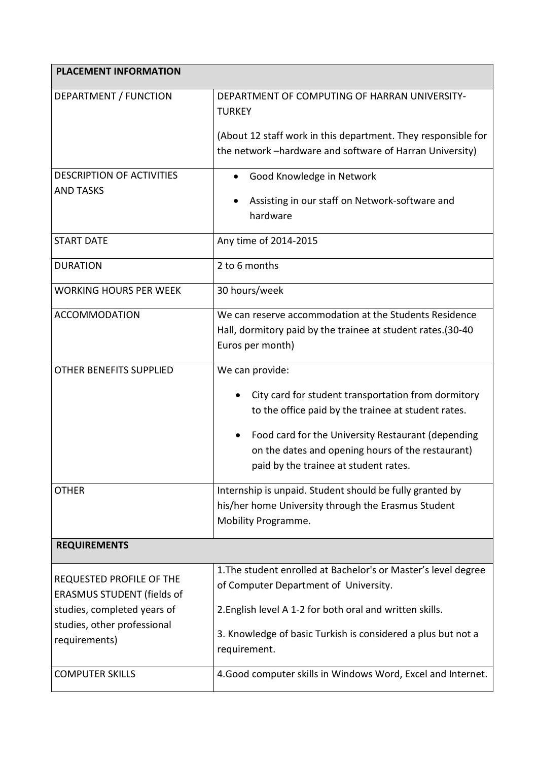| <b>PLACEMENT INFORMATION</b>                                                                 |                                                                                                                                                                                                                                                                                   |
|----------------------------------------------------------------------------------------------|-----------------------------------------------------------------------------------------------------------------------------------------------------------------------------------------------------------------------------------------------------------------------------------|
| DEPARTMENT / FUNCTION                                                                        | DEPARTMENT OF COMPUTING OF HARRAN UNIVERSITY-<br><b>TURKEY</b><br>(About 12 staff work in this department. They responsible for                                                                                                                                                   |
|                                                                                              | the network -hardware and software of Harran University)                                                                                                                                                                                                                          |
| <b>DESCRIPTION OF ACTIVITIES</b><br><b>AND TASKS</b>                                         | Good Knowledge in Network<br>Assisting in our staff on Network-software and<br>hardware                                                                                                                                                                                           |
| <b>START DATE</b>                                                                            | Any time of 2014-2015                                                                                                                                                                                                                                                             |
| <b>DURATION</b>                                                                              | 2 to 6 months                                                                                                                                                                                                                                                                     |
| <b>WORKING HOURS PER WEEK</b>                                                                | 30 hours/week                                                                                                                                                                                                                                                                     |
| <b>ACCOMMODATION</b>                                                                         | We can reserve accommodation at the Students Residence<br>Hall, dormitory paid by the trainee at student rates.(30-40<br>Euros per month)                                                                                                                                         |
| OTHER BENEFITS SUPPLIED                                                                      | We can provide:<br>City card for student transportation from dormitory<br>to the office paid by the trainee at student rates.<br>Food card for the University Restaurant (depending<br>on the dates and opening hours of the restaurant)<br>paid by the trainee at student rates. |
| <b>OTHER</b>                                                                                 | Internship is unpaid. Student should be fully granted by<br>his/her home University through the Erasmus Student<br>Mobility Programme.                                                                                                                                            |
| <b>REQUIREMENTS</b>                                                                          |                                                                                                                                                                                                                                                                                   |
| REQUESTED PROFILE OF THE<br><b>ERASMUS STUDENT (fields of</b><br>studies, completed years of | 1. The student enrolled at Bachelor's or Master's level degree<br>of Computer Department of University.<br>2. English level A 1-2 for both oral and written skills.                                                                                                               |
| studies, other professional<br>requirements)                                                 | 3. Knowledge of basic Turkish is considered a plus but not a<br>requirement.                                                                                                                                                                                                      |
| <b>COMPUTER SKILLS</b>                                                                       | 4. Good computer skills in Windows Word, Excel and Internet.                                                                                                                                                                                                                      |